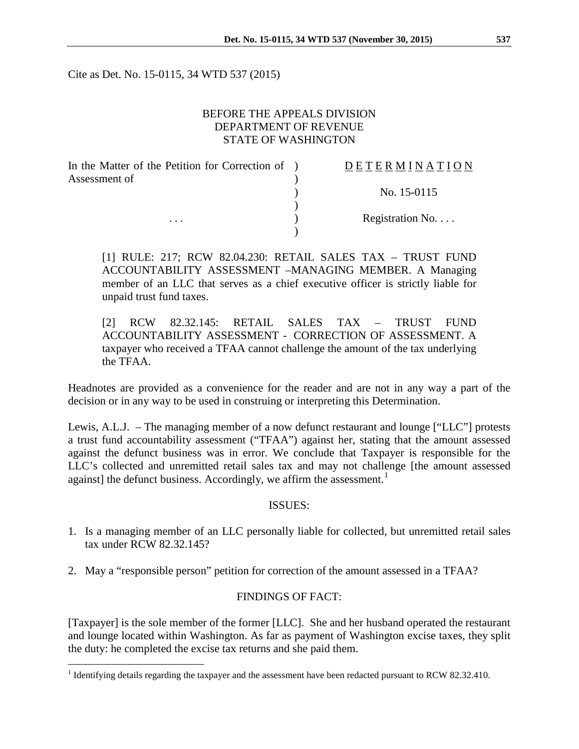Cite as Det. No. 15-0115, 34 WTD 537 (2015)

## BEFORE THE APPEALS DIVISION DEPARTMENT OF REVENUE STATE OF WASHINGTON

| In the Matter of the Petition for Correction of ) | DETERMINATION   |
|---------------------------------------------------|-----------------|
| Assessment of<br>$\cdots$                         |                 |
|                                                   | No. 15-0115     |
|                                                   |                 |
|                                                   | Registration No |
|                                                   |                 |

[1] RULE: 217; RCW 82.04.230: RETAIL SALES TAX – TRUST FUND ACCOUNTABILITY ASSESSMENT –MANAGING MEMBER. A Managing member of an LLC that serves as a chief executive officer is strictly liable for unpaid trust fund taxes.

[2] RCW 82.32.145: RETAIL SALES TAX – TRUST FUND ACCOUNTABILITY ASSESSMENT - CORRECTION OF ASSESSMENT. A taxpayer who received a TFAA cannot challenge the amount of the tax underlying the TFAA.

Headnotes are provided as a convenience for the reader and are not in any way a part of the decision or in any way to be used in construing or interpreting this Determination.

Lewis, A.L.J. – The managing member of a now defunct restaurant and lounge ["LLC"] protests a trust fund accountability assessment ("TFAA") against her, stating that the amount assessed against the defunct business was in error. We conclude that Taxpayer is responsible for the LLC's collected and unremitted retail sales tax and may not challenge [the amount assessed against] the defunct business. Accordingly, we affirm the assessment.<sup>[1](#page-0-0)</sup>

#### ISSUES:

- 1. Is a managing member of an LLC personally liable for collected, but unremitted retail sales tax under RCW 82.32.145?
- 2. May a "responsible person" petition for correction of the amount assessed in a TFAA?

## FINDINGS OF FACT:

[Taxpayer] is the sole member of the former [LLC]. She and her husband operated the restaurant and lounge located within Washington. As far as payment of Washington excise taxes, they split the duty: he completed the excise tax returns and she paid them.

<span id="page-0-0"></span><sup>&</sup>lt;sup>1</sup> Identifying details regarding the taxpayer and the assessment have been redacted pursuant to RCW 82.32.410.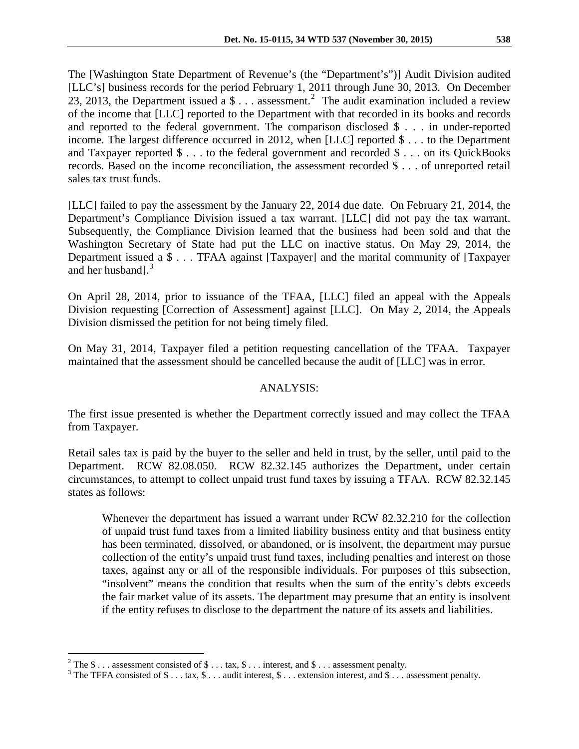The [Washington State Department of Revenue's (the "Department's")] Audit Division audited [LLC's] business records for the period February 1, 2011 through June 30, 2013. On December [2](#page-1-0)3, 2013, the Department issued a  $\frac{1}{3}$ ... assessment.<sup>2</sup> The audit examination included a review of the income that [LLC] reported to the Department with that recorded in its books and records and reported to the federal government. The comparison disclosed \$ . . . in under-reported income. The largest difference occurred in 2012, when [LLC] reported \$ . . . to the Department and Taxpayer reported \$ . . . to the federal government and recorded \$ . . . on its QuickBooks records. Based on the income reconciliation, the assessment recorded \$ . . . of unreported retail sales tax trust funds.

[LLC] failed to pay the assessment by the January 22, 2014 due date. On February 21, 2014, the Department's Compliance Division issued a tax warrant. [LLC] did not pay the tax warrant. Subsequently, the Compliance Division learned that the business had been sold and that the Washington Secretary of State had put the LLC on inactive status. On May 29, 2014, the Department issued a \$ . . . TFAA against [Taxpayer] and the marital community of [Taxpayer and her husband]. [3](#page-1-1)

On April 28, 2014, prior to issuance of the TFAA, [LLC] filed an appeal with the Appeals Division requesting [Correction of Assessment] against [LLC]. On May 2, 2014, the Appeals Division dismissed the petition for not being timely filed.

On May 31, 2014, Taxpayer filed a petition requesting cancellation of the TFAA. Taxpayer maintained that the assessment should be cancelled because the audit of [LLC] was in error.

# ANALYSIS:

The first issue presented is whether the Department correctly issued and may collect the TFAA from Taxpayer.

Retail sales tax is paid by the buyer to the seller and held in trust, by the seller, until paid to the Department. RCW 82.08.050. RCW 82.32.145 authorizes the Department, under certain circumstances, to attempt to collect unpaid trust fund taxes by issuing a TFAA. RCW 82.32.145 states as follows:

Whenever the department has issued a warrant under RCW 82.32.210 for the collection of unpaid trust fund taxes from a limited liability business entity and that business entity has been terminated, dissolved, or abandoned, or is insolvent, the department may pursue collection of the entity's unpaid trust fund taxes, including penalties and interest on those taxes, against any or all of the responsible individuals. For purposes of this subsection, "insolvent" means the condition that results when the sum of the entity's debts exceeds the fair market value of its assets. The department may presume that an entity is insolvent if the entity refuses to disclose to the department the nature of its assets and liabilities.

<span id="page-1-1"></span><span id="page-1-0"></span><sup>&</sup>lt;sup>2</sup> The \$ . . . assessment consisted of \$ . . . tax, \$ . . . interest, and \$ . . . assessment penalty. <sup>3</sup> The TFFA consisted of \$ . . . tax, \$ . . . audit interest, \$ . . . extension interest, and \$ . . . assessment pena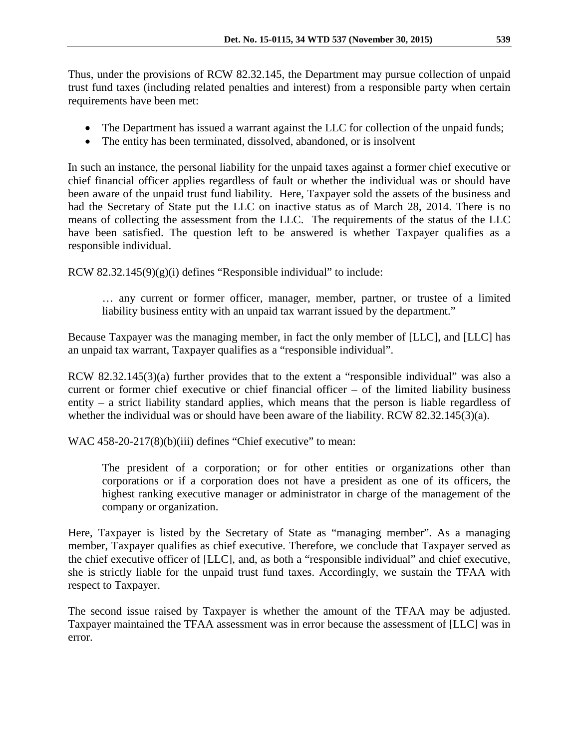Thus, under the provisions of RCW 82.32.145, the Department may pursue collection of unpaid trust fund taxes (including related penalties and interest) from a responsible party when certain requirements have been met:

- The Department has issued a warrant against the LLC for collection of the unpaid funds;
- The entity has been terminated, dissolved, abandoned, or is insolvent

In such an instance, the personal liability for the unpaid taxes against a former chief executive or chief financial officer applies regardless of fault or whether the individual was or should have been aware of the unpaid trust fund liability. Here, Taxpayer sold the assets of the business and had the Secretary of State put the LLC on inactive status as of March 28, 2014. There is no means of collecting the assessment from the LLC. The requirements of the status of the LLC have been satisfied. The question left to be answered is whether Taxpayer qualifies as a responsible individual.

RCW 82.32.145(9)(g)(i) defines "Responsible individual" to include:

… any current or former officer, manager, member, partner, or trustee of a limited liability business entity with an unpaid tax warrant issued by the department."

Because Taxpayer was the managing member, in fact the only member of [LLC], and [LLC] has an unpaid tax warrant, Taxpayer qualifies as a "responsible individual".

RCW 82.32.145(3)(a) further provides that to the extent a "responsible individual" was also a current or former chief executive or chief financial officer – of the limited liability business entity – a strict liability standard applies, which means that the person is liable regardless of whether the individual was or should have been aware of the liability. RCW 82.32.145(3)(a).

WAC 458-20-217(8)(b)(iii) defines "Chief executive" to mean:

The president of a corporation; or for other entities or organizations other than corporations or if a corporation does not have a president as one of its officers, the highest ranking executive manager or administrator in charge of the management of the company or organization.

Here, Taxpayer is listed by the Secretary of State as "managing member". As a managing member, Taxpayer qualifies as chief executive. Therefore, we conclude that Taxpayer served as the chief executive officer of [LLC], and, as both a "responsible individual" and chief executive, she is strictly liable for the unpaid trust fund taxes. Accordingly, we sustain the TFAA with respect to Taxpayer.

The second issue raised by Taxpayer is whether the amount of the TFAA may be adjusted. Taxpayer maintained the TFAA assessment was in error because the assessment of [LLC] was in error.